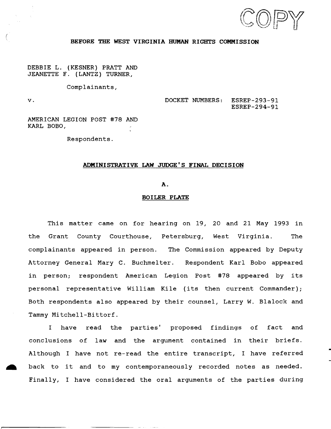

#### **BEFORE THE WEST VIRGINIA HUMAN RIGHTS COMMISSION**

DEBBIE L. (KESNER) PRATT AND JEANETTE F. (LANTZ) TURNER,

Complainants,

v.

(

DOCKET NUMBERS: ESREP-293-91 ESREP-294-91

AMERICAN LEGION POST #78 AND KARL BOBO,

Respondents.

### **ADMINISTRATIVE LAW JUDGE'S FINAL DECISION**

### A.

### **BOILER PLATE**

This matter came on for hearing on 19, 20 and 21 May 1993 in the Grant County Courthouse, Petersburg, West Virginia. The complainants appeared in person. The Commission appeared by Deputy Attorney General Mary C. Buchmelter. Respondent Karl Bobo appeared in person; respondent American Legion Post #78 appeared by its personal representative William Kile (its then current Commander); Both respondents also appeared by their counsel, Larry W. Blalock and Tammy Mitchell-Bittorf.

I have read the parties' proposed findings of fact and conclusions of law and the argument contained in their briefs. Al though I have not re-read the entire transcript, I have referred back to it and to my contemporaneously recorded notes as needed. Finally, I have considered the oral arguments of the parties during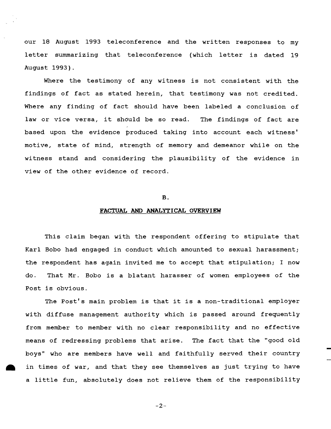our 18 August 1993 teleconference and the written responses to my letter summarizing that teleconference (which letter is dated 19 August 1993).

Where the testimony of any witness is not consistent with the findings of fact as stated herein, that testimony was not credited. Where any finding of fact should have been labeled a conclusion of law or vice versa, it should be so read. The findings of fact are based upon the evidence produced taking into account each witness' motive, state of mind, strength of memory and demeanor while on the witness stand and considering the plausibility of the evidence in view of the other evidence of record.

# B.

#### FACTUAL AND ANALYTICAL OVERVIEW

This claim began with the respondent offering to stipulate that Karl Bobo had engaged in conduct which amounted to sexual harassment; the respondent has again invited me to accept that stipulation; <sup>I</sup> now do. That Mr. Bobo is <sup>a</sup> blatant harasser of women employees of the Post is obvious.

The Post's main problem is that it is <sup>a</sup> non-traditional employer with diffuse management authority which is passed around frequently from member to member with no clear responsibility and no effective means of redressing problems that arise. The fact that the "good old boys" who are members have well and faithfully served their country in times of war, and that they see themselves as just trying to have <sup>a</sup> little fun, absolutely does not relieve them of the responsibility

-2-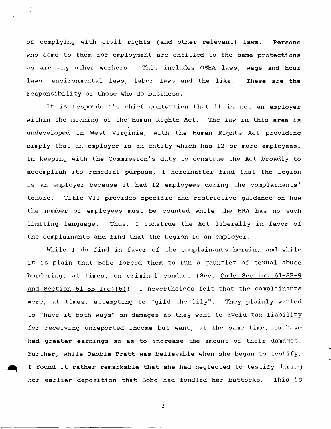of complying with civil rights (and other relevant) laws. Persons who come to them for employment are entitled to the same protections as are any other workers. This includes OSHA laws, wage and hour laws, environmental laws, labor laws and the like. These are the responsibility of those who do business.

It is respondent's chief contention that it is not an employer within the meaning of the'Human Rights Act. The law in this area is undeveloped in West Virginia, with the Human Rights Act providing simply that an employer is an entity which has <sup>12</sup> or more employees. In keeping with the Commission's duty to construe the Act broadly to accomplish its remedial purpose, <sup>I</sup> hereinafter find that the Legion is an employer because it had <sup>12</sup> employees during the complainants' tenure. Title VII provides specific and restrictive guidance on how the number of employees must be counted while the HRA has no such limiting language. Thus, <sup>I</sup> construe the Act liberally in favor of the complainants and find that the Legion is an employer.

While I do find in favor of the complainants herein, and while it is plain that Bobo forced them to run <sup>a</sup> gauntlet of sexual abuse bordering, at times, on criminal conduct (See, Code Section 61-8B-9 and Section  $61-8B-1(c)(6)$  I nevertheless felt that the complainants were, at times, attempting to "gild the lily". They plainly wanted to "have it both ways" on damages as they want to avoid tax liability for receiving unreported income but want, at the same time, to have had greater earnings so as to increase the amount of their damages. Further, while Debbie Pratt was believable when she began to testify, <sup>I</sup> found it rather remarkable that she had neglected to testify during her earlier deposition that Bobo had fondled her buttocks. This is

-3-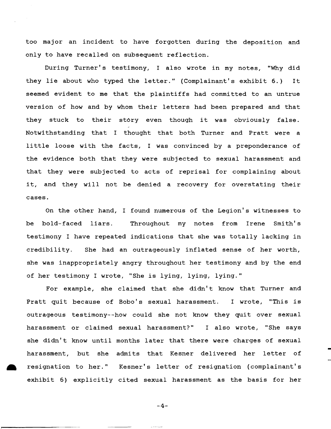too major an incident to have forgotten during the deposition and only to have recalled on subsequent reflection.

During Turner's testimony, I also wrote in my notes, "Why did they lie about who typed the letter." (Complainant's exhibit 6.) It seemed evident to me that the plaintiffs had committed to an untrue version of how and by whom their letters had been prepared and that they stuck to their story even though it was obviously false. Notwi thstanding that <sup>I</sup> thought that both Turner and Pratt were <sup>a</sup> little loose with the facts, <sup>I</sup> was convinced by <sup>a</sup> preponderance of the evidence both that they were subjected to sexual harassment and that they were subjected to acts of reprisal for complaining about it, and they will not be denied <sup>a</sup> recovery for overstating their cases.

On the other hand, I found numerous of the Legion's witnesses to be bold-faced liars. Throughout my notes from Irene Smith's testimony <sup>I</sup> have repeated indications that she was totally lacking in credibility. She had an outrageously inflated sense of her worth, she was inappropriately angry throughout her testimony and by the end of her testimony <sup>I</sup> wrote, "She is lying, lying, lying."

For example, she claimed that she didn't know that Turner and Pratt quit because of Bobo's sexual harassment. I wrote, "This is outrageous testimony--how could she not know they quit over sexual harassment or claimed sexual harassment?" I also wrote, "She says she didn't know until months later that there were charges of sexual harassment, but she admits that Kesner delivered her letter of • resignation to her. " Kesner's letter of resignation (complainant's exhibit 6) explicitly cited sexual harassment as the basis for her

-4-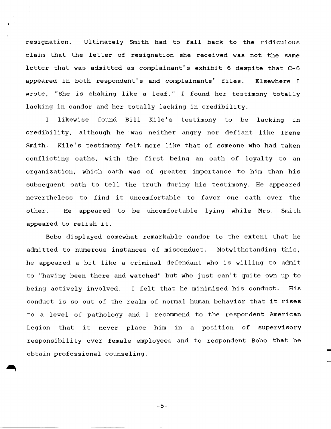resignation. UItimately Smith had to fall back to the ridiculous claim that the letter of resignation she received was not the same letter that was admitted as complainant's exhibit <sup>6</sup> despite that C-6 appeared in both respondent's and complainants' files. Elsewhere <sup>I</sup> wrote, "She is shaking like <sup>a</sup> leaf." <sup>I</sup> found her testimony totally lacking in candor and her totally lacking in credibility.

<sup>I</sup> likewise found Bill Kile's testimony to be lacking in credibility, although he' was neither angry nor defiant like Irene Smith. Kile's testimony felt more like that of someone who had taken conflicting oaths, with the first being an oath of loyalty to an organization, which oath was of greater importance to him than his subsequent oath to tell the truth during his testimony. He appeared nevertheless to find it uncomfortable to favor one oath over the other. He appeared to be uncomfortable lying while Mrs. Smith appeared to relish it.

Bobo displayed somewhat remarkable candor to the extent that he admitted to numerous instances of misconduct. Notwithstanding this, he appeared <sup>a</sup> bit like <sup>a</sup> criminal defendant who is willing to admit to "having been there and watched" but who just can't quite own up to being actively involved. <sup>I</sup> felt that he minimized his conduct. His conduct is so out of the realm of normal human behavior that it rises to a level of pathology and I recommend to the respondent American Legion that it never place him in <sup>a</sup> position of supervisory responsibility over female employees and to respondent Bobo that he obtain professional counseling.

-5-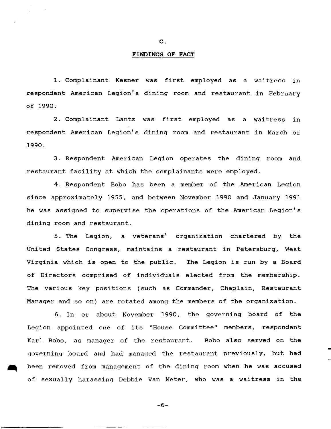C.

## **FINDINGS OF FACT**

1. Complainant Kesner was first employed as <sup>a</sup> waitress in respondent American Legion's dining room and restaurant in February of 1990.

2. Complainant Lantz was first employed as <sup>a</sup> waitress in respondent American Legion's dining room and restaurant in March of 1990.

3. Respondent American Legion operates the dining room and restaurant facility at which the complainants were employed.

4. Respondent Bobo has been a member of the American Legion since approximately 1955, and between November 1990 and January 1991 he was assigned to supervise the operations of the American Legion's dining room and restaurant.

5. The Legion, <sup>a</sup> veterans' organization chartered by the Uni ted States Congress, maintains <sup>a</sup> restaurant in Petersburg, West Virginia which is open to the public. The Legion is run by <sup>a</sup> Board of Directors comprised of individuals elected from the membership. The various key positions (such as Commander, Chaplain, Restaurant Manager and so on) are rotated among the members of the organization.

6. In or about November 1990, the governing board of the Legion appointed one of its "House Commi ttee" members, respondent Karl Bobo, as manager of the restaurant. Bobo also served on the governing board and had managed the restaurant previously, but had been removed from management of the dining room when he was accused of sexually harassing Debbie Van Meter, who was <sup>a</sup> waitress in the

-6-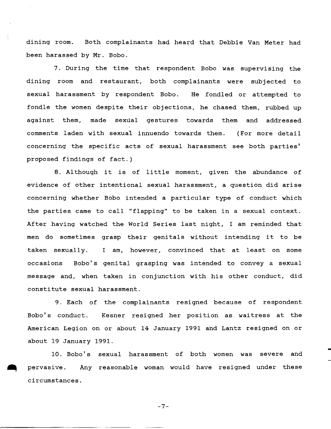dining room. Both complainants had heard that Debbie Van Meter had been harassed by Mr. Bobo.

7. During the time that respondent Bobo was supervising the dining room and restaurant, both complainants were subjected to sexual harassment by respondent Bobo. He fondled or attempted to fondle the women despite their objections, he chased them, rubbed up against them, made sexual gestures towards them and addressed comments laden with sexual innuendo towards them. (For more detail concerning the specific acts of sexual harassment see both parties' proposed findings of fact.)

8. Although it is of little moment, given the abundance of evidence of other intentional sexual harassment, <sup>a</sup> question did arise concerning whether Bobo intended <sup>a</sup> particular type of conduct which the parties came to call "flapping" to be taken in <sup>a</sup> sexual context. After having watched the World Series last night, <sup>I</sup> am reminded that men do sometimes grasp their genitals without intending it to be taken sexually. <sup>I</sup> am, however, convinced that at least on some occasions Bobo's genital grasping was intended to convey a sexual message and, when taken in conjunction with his other conduct, did constitute sexual harassment.

9. Each of the complainants resigned because of respondent Bobo's conduct. Kesner resigned her position as waitress at the American Legion on or about 14 January 1991 and Lantz resigned on or about 19 January 1991.

10. Bobo's sexual harassment of both women was severe and pervasive. Any reasonable woman would have resigned under these circumstances.

-7-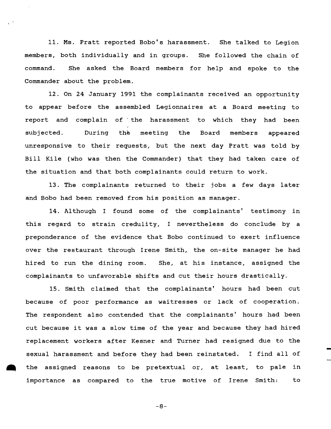11. Ms. Pratt reported Bobo's harassment. She talked to Legion members, both individually and in groups. She followed the chain of command. She asked the Board members for help and spoke to the Commander about the problem.

12. On 24 January 1991 the complainants received an opportunity to appear before the assembled Legionnaires at <sup>a</sup> Board meeting to report and complain of the harassment to which they had been subjected. During the meeting the Board members appeared unresponsive to their requests, but the next day Pratt was told by Bill Kile (who was then the Commander) that they had taken care of the situation and that both complainants could return to work.

13. The complainants returned to their jobs <sup>a</sup> few days later and Bobo had been removed from his position as manager.

14. Although <sup>I</sup> found some of the complainants' testimony in this regard to strain credulity, <sup>I</sup> nevertheless do conclude by <sup>a</sup> preponderance of the evidence that Bobo continued to exert influence over the restaurant through Irene Smith, the on-site manager he had hired to run the dining room. She, at his instance, assigned the complainants to unfavorable shifts and cut their hours drastically.

15. Smi th claimed that the complainants' hours had been cut because of poor performance as waitresses or lack of cooperation. The respondent also contended that the complainants' hours had been cut because it was <sup>a</sup> slow time of the year and because they had hired replacement workers after Kesner and Turner had resigned due to the sexual harassment and before they had been reinstated. <sup>I</sup> find all of the assigned reasons to be pretextual or, at least, to pale in importance as compared to the true motive of Irene Smith: to

-8-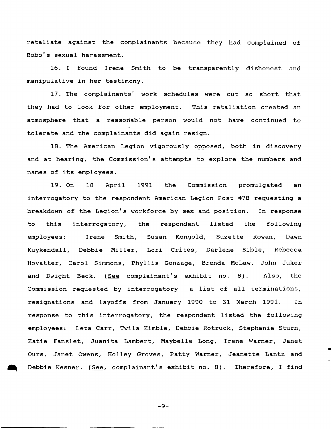retaliate against the complainants because they had complained of Bobo's sexual harassment.

16. I found Irene Smith to be transparently dishonest and manipulative in her testimony.

17. The complainants' work schedules were cut so short that they had to look for other employment. This retaliation created an atmosphere that <sup>a</sup> reasonable person would not have continued to tolerate and the complainahts did again resign.

18. The American Legion vigorously opposed, both in discovery and at hearing, the Commission's attempts to explore the numbers and names of its employees.

19. On 18 April 1991 the Commission promulgated an interrogatory to the respondent American Legion Post #78 requesting a breakdown of the Legion's workforce by sex and position. In response to this interrogatory, the respondent listed the following employees: Irene Smith, Susan Mongold, Suzette Rowan, Dawn Kuykendall, Debbie Miller, Lori Crites, Darlene Bible, Rebecca Hovatter, Carol Simmons, Phyllis Gonzage, Brenda McLaw, John Juker and Dwight Beck. (See complainant's exhibit no. 8). Aiso, the Commission requested by interrogatory <sup>a</sup> list of all terminations, resignations and layoffs from January 1990 to 31 March 1991. In response to this interrogatory, the respondent listed the following employees: Leta Carr, Twila Kimble, Debbie Rotruck, Stephanie Sturn, Katie Fanslet, Juanita Lambert, Maybelle Long, Irene Warner, Janet Ours, Janet Owens, Holley Groves, Patty Warner, Jeanette Lantz and Debbie Kesner. (See, complainant's exhibit no. 8). Therefore, I find

-9-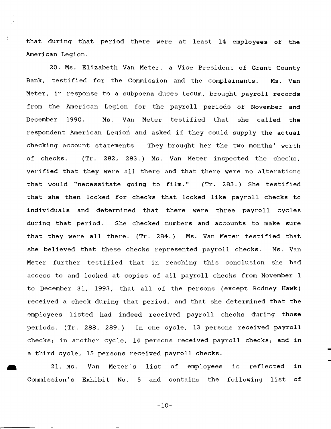that during that period there were at least 14 employees of the American Legion.

20. Ms. Elizabeth Van Meter, a Vice President of Grant County Bank, testified for the Commission and the complainants. Ms. Van Meter, in response to a subpoena duces tecum, brought payroll records from the American Legion for the payroll periods of November and December 1990. Ms. Van Meter testified that she called the respondent American Legion and asked if they could supply the actual checking account statements. They brought her the two months' worth of checks. (Tr. 282, 283.) Ms. Van Meter inspected the checks, verified that they were all there and that there were no alterations that would "necessitate going to film." (Tr. 283.) She testified that she then looked for checks that looked like payroll checks to individuals and determined that there were three payroll cycles during that period. She checked numbers and accounts to make sure that they were all there. (Tr. 284.) Ms. Van Meter testified that she believed that these checks represented payroll checks. Ms. Van Meter further testified that in reaching this conclusion she had access to and looked at copies of all payroll checks from November <sup>1</sup> to December 31, 1993, that all of the persons (except Rodney Hawk) received a check during that period, and that she determined that the employees listed had indeed received payroll checks during those periods. (Tr. 288, 289.) In one cycle, 13 persons received payroll checks; in another cycle, 14 persons received payroll checks; and in a third cycle, 15 persons received payroll checks.

in of is reflected Commission's Exhibit No. <sup>5</sup> and contains the following list 21. Ms. Van Meter's list of employees

-10-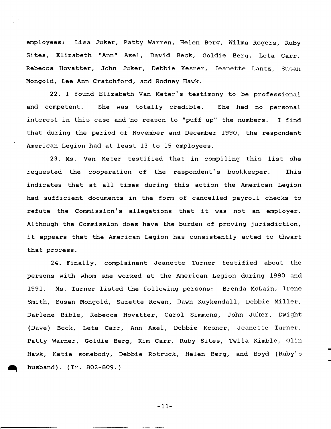employees: Lisa Juker, Patty Warren, Helen Berg, Wilma Rogers, Ruby Si tes, Elizabeth "Ann" Axel, David Beck, Goldie Berg, Leta Carr, Rebecca Hovatter, John Juker, Debbie Kesner, Jeanette Lantz, Susan Mongold, Lee Ann Cratchford, and Rodney Hawk.

22. I found Elizabeth Van Meter's testimony to be professional and competent. She was totally credible. She had no personal interest in this case and "no reason to "puff up" the numbers. <sup>I</sup> find that during the period of' November and December 1990, the respondent American Legion had at least 13 to 15 employees.

23. Ms. Van Meter testified that in compiling this list she requested the cooperation of the respondent's bookkeeper. This indicates that at all times during this action the American Legion had sufficient documents in the form of cancelled payroll checks to refute the Commission's allegations that it was not an employer. Although the Commission does have the burden of proving jurisdiction, it appears that the American Legion has consistently acted to thwart that process.

24. Finally, complainant Jeanette Turner testified about the persons with whom she worked at the American Legion during 1990 and 1991. Ms. Turner listed the following persons: Brenda McLain, Irene Smith, Susan Mongold, Suzette Rowan, Dawn Kuykendall, Debbie Miller, Darlene Bible, Rebecca Hovatter, Carol Simmons, John Juker, Dwight (Dave) Beck, Leta Carr, Ann Axel, Debbie Kesner, Jeanette Turner, Patty Warner, Goldie Berg, Kim Carr, Ruby Sites, Twila Kimble, Olin Hawk, Katie somebody, Debbie Rotruck, Helen Berg, and Boyd (Ruby's husband). (Tr. 802-809.)

-11-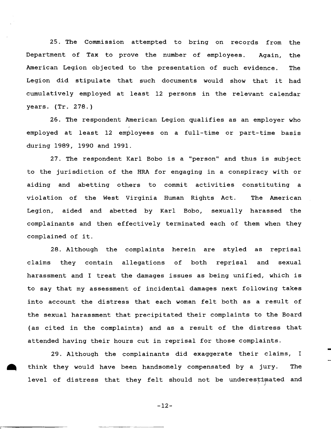25. The Commission attempted to bring on records from the Department of Tax to prove the number of employees. Again, the American Legion objected to the presentation of such evidence. The Legion did stipulate that such documents would show that it had cumulatively employed at least 12 persons in the relevant calendar years. (Tr. 278.)

26. The respondent American Legion qualifies as an employer who employed at least 12 employees on <sup>a</sup> full-time or part-time basis during 1989, 1990 and 1991.

27. The respondent Karl Bobo is <sup>a</sup> "person" and thus is subject to the jurisdiction of the HRA for engaging in <sup>a</sup> conspiracy with or aiding and abetting others to commit activities constituting <sup>a</sup> violation of the West Virginia Human Rights Act. The American Legion, aided and abetted by Karl Bobo, sexually harassed the complainants and then effectively terminated each of them when they complained of it.

28. Although the complaints herein are styled as reprisal claims they contain allegations of both reprisal and sexual harassment and <sup>I</sup> treat the damages issues as being unified, which is to say that my assessment of incidental damages next following takes into account the distress that each woman felt both as <sup>a</sup> result of the sexual harassment that precipitated their complaints to the Board (as cited in the complaints) and as <sup>a</sup> result of the distress that attended having their hours cut in reprisal for those complaints.

29. Although the complainants did exaggerate their claims, <sup>I</sup> • think they would have been handsomely compensated by a jury. The level of distress that they felt should not be underestimated and

-12-

-----~----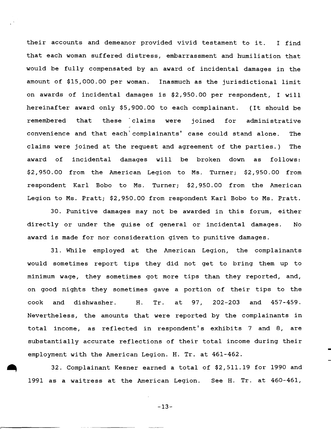their accounts and demeanor provided vivid testament to it. <sup>I</sup> find that each woman suffered distress, embarrassment and humiliation that would be fully compensated by an award of incidental damages in the amount of \$15,000.00 per woman. Inasmuch as the jurisdictional limit on awards of incidental damages is \$2,950.00 per respondent, <sup>I</sup> will hereinafter award only \$5,900.00 to each complainant. (It should be remembered that these claims were joined for administrative convenience and that each'complainants' case could stand alone. The claims were joined at the request and agreement of the parties.) The award of incidental damages will be broken down as follows: \$2,950.00 from the American Legion to Ms. Turner; \$2,950.00 from respondent Karl Bobo to Ms. Turner; \$2,950.00 from the American Legion to Ms. Pratt; \$2,950.00 from respondent Karl Bobo to Ms. Pratt.

30. Punitive damages may not be awarded in this forum, either directly or under the guise of general or incidental damages. No award is made for nor consideration given to punitive damages.

31. While employed at the American Legion, the complainants would sometimes report tips they did not get to bring them up to minimum wage, they sometimes got more tips than they reported, and, on good nights they sometimes gave <sup>a</sup> portion of their tips to the cook and dishwasher. H. Tr. at 97, 202-203 and 457-459. Nevertheless, the amounts that were reported by the complainants in total income, as reflected in respondent's exhibits <sup>7</sup> and 8, are substantially accurate reflections of their total income during their employment with the American Legion. H. Tr. at 461-462.

32. Complainant Kesner earned <sup>a</sup> total of \$2,511.19 for 1990 and 1991 as <sup>a</sup> waitress at the American Legion. See H. Tr. at 460-461,

-13-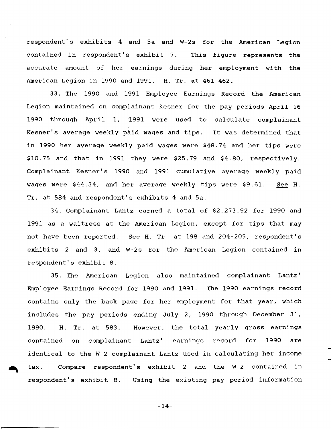respondent's exhibits 4 and 5a and W-2s for the American Legion contained in respondent's exhibit 7. This figure represents the accurate amount of her earnings during her employment with the American Legion in 1990 and 1991. H. Tr. at 461-462.

33. The 1990 and 1991 Employee Earnings Record the American Legion maintained on complainant Kesner for the pay periods April 16 1990 through April 1, 1991 were used to calculate complainant Kesner's average weekly paid wages and tips. It was determined that in 1990 her average weekly paid wages were \$48.74 and her tips were \$10.75 and that in 1991 they were \$25.79 and \$4.80, respectively. Complainant Kesner's 1990 and 1991 cumulative average weekly paid wages were \$44.34, and her average weekly tips were \$9.61. See H. Tr. at 584 and respondent's exhibits 4 and 5a.

34. Complainant Lantz earned <sup>a</sup> total of \$2,273.92 for 1990 and 1991 as <sup>a</sup> waitress at the American Legion, except for tips that may not have been reported. See H. Tr. at 198 and 204-205, respondent's exhibits 2 and 3, and W-2s for the American Legion contained in respondent's exhibit 8.

35. The American Legion also maintained complainant Lantz' Employee Earnings Record for 1990 and 1991. The 1990 earnings record contains only the back page for her employment for that year, which includes the pay periods ending July 2, 1990 through December 31, 1990. H. Tr. at 583. However, the total yearly gross earnings contained on complainant Lantz' earnings record for 1990 are identical to the W-2 complainant Lantz used in calculating her income tax. Compare respondent's exhibit 2 and the W-2 contained in respondent's exhibit 8. Using the existing pay period information

-14-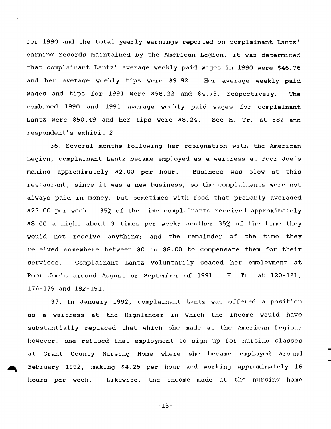for 1990 and the total yearly earnings reported on complainant Lantz' earning records maintained by the American Legion, it was determined that complainant Lantz' average weekly paid wages in 1990 were \$46.76 and her average weekly tips were \$9.92. Her average weekly paid wages and tips for 1991 were \$58.22 and \$4.75, respectively. The combined 1990 and 1991 average weekly paid wages for complainant Lantz were \$50.49 and her tips were \$8.24. See H. Tr. at 582 and respondent's exhibit 2.

36. Several months following her resignation with the American Legion, complainant Lantz became employed as <sup>a</sup> waitress at Poor Joe's making approximately \$2.00 per hour. Business was slow at this restaurant, since it was <sup>a</sup> new business, so the complainants were not always paid in money, but sometimes with food that probably averaged \$25.00 per week. 35% of the time complainants received approximately \$8.00 a night about 3 times per week; another 35% of the time they would not receive anything; and the remainder of the time they received somewhere between  $$0$  to  $$8.00$  to compensate them for their services. Complainant Lantz voluntarily ceased her employment at Poor Joe's around August or September of 1991. H. Tr. at 120-121, 176-179 and 182-191.

37. In January 1992, complainant Lantz was offered a position as <sup>a</sup> waitress at the Highlander in which the income would have substantially replaced that which she made at the American Legion; however, she refused that employment to sign up for nursing classes at Grant County Nursing Home where she became employed around February 1992, making \$4.25 per hour and working approximately 16 hours per week. Likewise, the income made at the nursing home

-15-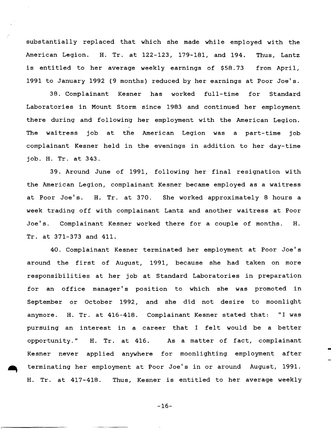substantially replaced that which she made while employed with the American Legion. H. Tr. at 122-123, 179-181, and 194. Thus, Lantz is entitled to her average weekly earnings of \$58.73 from ApriI, 1991 to January 1992 (9 months) reduced by her earnings at Poor Joe's.

38. Complainant Kesner has worked full-time for Standard Laboratories in Mount Storm since 1983 and continued her employment there during and followin'g her employment with the American Legion. The waitress job at the American Legion was a part-time job complainant Kesner held in the evenings in addition to her day-time job. H. Tr. at 343.

39. Around June of 1991, following her final resignation with the American Legion, complainant Kesner became employed as a waitress at Poor Joe's. H. Tr. at 370. She worked approximately <sup>8</sup> hours <sup>a</sup> week trading off with complainant Lantz and another waitress at Poor Joe's. Complainant Kesner worked there for <sup>a</sup> couple of months. H. Tr. at 371-373 and 411.

40. Complainant Kesner terminated her employment at Poor Joe's around the first of August, 1991, because she had taken on more responsibilities at her job at Standard Laboratories in preparation for an office manager's position to which she was promoted in September or October 1992, and she did not desire to moonlight anymore. H. Tr. at 416-418. Complainant Kesner stated that: "I was pursuing an interest in <sup>a</sup> career that <sup>I</sup> felt would be <sup>a</sup> better opportunity." H. Tr. at 416. As <sup>a</sup> matter of fact, complainant Kesner never applied anywhere for moonlighting employment after terminating her employment at Poor Joe's in or around August, 1991. H. Tr. at 417-418. Thus, Kesner is entitled to her average weekly

-16-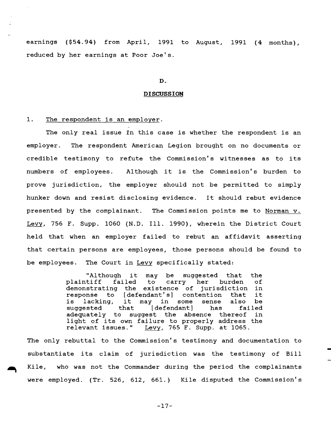earnings (\$54.94) from April, 1991 to August, 1991 (4 months), reduced by her earnings at Poor Joe's.

# D.

### **DISCUSSION**

# 1. The respondent is an employer.

The only real issue in this case is whether the respondent is an employer. The respondent American Legion brought on no documents or credible testimony to refute the Commission's witnesses as to its numbers of employees. Although it is the Commission's burden to prove jurisdiction, the employer should not be permitted to simply hunker down and resist disclosing evidence. It should rebut evidence presented by the complainant. The Commission points me to Norman v. Levy, <sup>756</sup> F. Supp. <sup>1060</sup> (N.D. Ill. 1990), wherein the District Court held that when an employer failed to rebut an affidavit asserting that certain persons are employees, those persons should be found to be employees. The Court in Levy specifically stated:

> "Although it may be suggested that the<br>plaintiff failed to carry her burden of plaintiff failed to carry her burden of demonstrating the existence of jurisdiction in response to [defendant's] contention that it response to [defendant's] contention that it<br>is lacking, it may in some sense also be<br>suggested that [defendant] has failed  $[defendant]$ adequately to suggest the absence thereof in light of its own failure to properly address the<br>relevant issues." Levy, 765 F. Supp. at 1065. Levy, 765 F. Supp. at 1065.

The only rebuttal to the Commission's testimony and documentation to substantiate its claim of jurisdiction was the testimony of Bill Kile, who was not the Commander during the period the complainants were employed. (Tr. 526, 612, 661.) Kile disputed the Commission's

-17-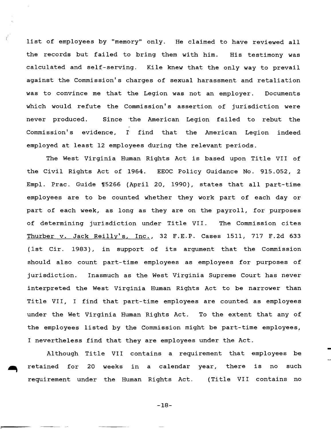list of employees by "memory" only. He claimed to have reviewed all the records but failed to bring them with him. His testimony was calculated and self-serving. Kile knew that the only way to prevail against the Commission's charges of sexual harassment and retaliation was to convince me that the Legion was not an employer. Documents which would refute the Commission's assertion of jurisdiction were never produced. Since ·the American Legion failed to rebut the Commission's evidence, r find that the American Legion indeed employed at least 12 employees during the relevant periods.

The West Virginia Human Rights Act is based upon Title VII of the Civil Rights Act of 1964. EEOC Policy Guidance No. 915.052, <sup>2</sup> Empl. Prac. Guide 15266 (April 20, 1990), states that all part-time employees are to be counted whether they work part of each day or part of each week, as long as they are on the payroll, for purposes of determining jurisdiction under Title VII. The Commission cites Thurber v. Jack Reilly's, Inc., 32 F.E.P. Cases 1511, 717 F.2d 633 (1st Cir. 1983), in support of its argument that the Commission should also count part-time employees as employees for purposes of jurisdiction. Inasmuch as the West Virginia Supreme Court has never interpreted the West Virginia Human Rights Act to be narrower than Title VII, I find that part-time employees are counted as employees under the Wet Virginia Human Rights Act. To the extent that any of the employees listed by the Commission might be part-time employees, <sup>I</sup> nevertheless find that they are employees under the Act.

Although Title VII contains <sup>a</sup> requirement that employees be retained for 20 weeks in <sup>a</sup> calendar year, there is no such requirement under the Human Rights Act. (Title VII contains no

-18-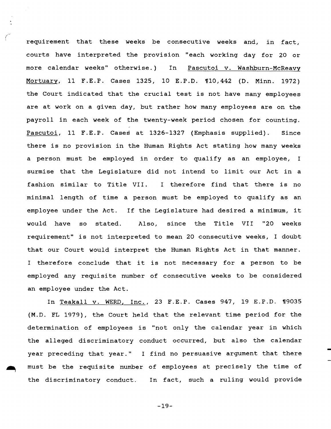requirement that these weeks be consecutive weeks and, in fact, courts have interpreted the provision "each working day for 20 or more calendar weeks" otherwise.) In Pascutoi v. Washburn-McReavy Mortuary, 11 F.E.P. Cases 1325, 10 E.P.D. 1l10,442 (D. Minn. 1972) the Court indicated that the crucial test is not have many employees are at work on <sup>a</sup> given day, but rather how many employees are on the payroll in each week of the twenty-week period chosen for counting. Pascutoi, 11 F.E.P. Cases at 1326-1327 (Emphasis supplied). Since there is no provision in the Human Rights Act stating how many weeks <sup>a</sup> person must be employed in order to qualify as an employee, <sup>I</sup> surmise that the Legislature did not intend to limit our Act in <sup>a</sup> fashion similar to Title VII. I therefore find that there is no minimal length of time <sup>a</sup> person must be employed to qualify as an employee under the Act. If the Legislature had desired <sup>a</sup> minimum, it would have so stated. Also, since the Title VII "20 weeks requirement" is not interpreted to mean <sup>20</sup> consecutive weeks, <sup>I</sup> doubt that our Court would interpret the Human Rights Act in that manner. <sup>I</sup> therefore conclude that it is not necessary for <sup>a</sup> person to be employed any requisite number of consecutive weeks to be considered an employee under the Act.

In Teakall v. WERD, Inc., 23 F.E.P. Cases 947, 19 E.P.D. 19035 (M.D. FL 1979), the Court held that the relevant time period for the determination of employees is "not only the calendar year in which the alleged discriminatory conduct occurred, but also the calendar year preceding that year." <sup>I</sup> find no persuasive argument that there must be the requisite number of employees at precisely the time of the discriminatory conduct. In fact, such <sup>a</sup> ruling would provide

-19-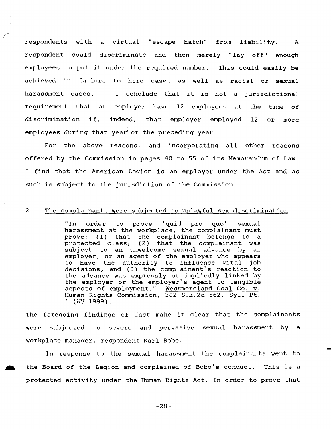respondents with <sup>a</sup> virtual "escape hatch" from liability. <sup>A</sup> respondent could discriminate and then merely "lay off" enough employees to put it under the required number. This could easily be achieved in failure to hire cases as well as racial or sexual harassment cases. <sup>I</sup> conclude that it is not <sup>a</sup> jurisdictional requirement that an employer have <sup>12</sup> employees at the time of discrimination if, indeed, that employer employed <sup>12</sup> or more employees during that year' or the preceding year.

For the above reasons, and incorporating all other reasons offered by the Commission in pages <sup>40</sup> to <sup>55</sup> of its Memorandum of Law, <sup>I</sup> find that the American Legion is an employer under the Act and as such is subject to the jurisdiction of the Commission.

# 2. The complainants were subjected to unlawful sex discrimination.

"In order to prove 'quid pro quo' sexual harassment at the workplace, the complainant must prove: (1) that the complainant belongs to a protected class; (2) that the complainant was subject to an unwelcome sexual advance by an employer, or an agent of the employer who appears to have the authority to influence vital job decisions; and (3) the complainant's reaction to the advance was expressly or impliedly linked by the employer or the employer's agent to tangible aspects of employment." Westmoreland Coal Co. v. Human Rights Commission, 382 S.E.2d 562, Syll Pt. 1 (WV1989).

The foregoing findings of fact make it clear that the complainants were subjected to severe and pervasive sexual harassment by a workplace manager, respondent Karl Bobo.

In response to the sexual harassment the complainants went to the Board of the Legion and complained of Bobo's conduct. This is <sup>a</sup> protected activity under the Human Rights Act. In order to prove that

 $-20-$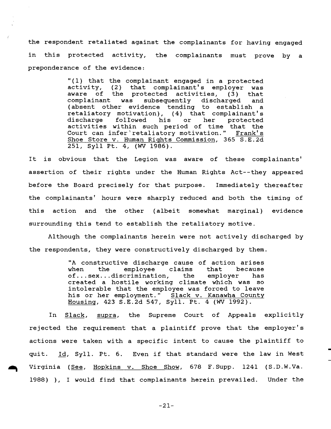the respondent retaliated against the complainants for having engaged in this protected activity, the complainants must prove by a preponderance of the evidence:

> "(1) that the complainant engaged in <sup>a</sup> protected activity, (2) that complainant's employer was aware of the protected activities, (3) that<br>complainant was subsequently discharged and subsequently (absent other evidence tending to establish a retaliatory motivation), (4) that complainant's folIowed his activities wi thin such period of time that the Court can infer'retaliatory motivation." Frank's Shoe Store v. Human Rights Commission, 365 S.E.2d 251, Syll Pt. 4, (WV 1986).

It is obvious that the Legion was aware of these complainants' assertion of their rights under the Human Rights Act--they appeared before the Board precisely for that purpose. Immediately thereafter the complainants' hours were sharply reduced and both the timing of this action and the other (albeit somewhat marginal) evidence surrounding this tend to establish the retaliatory motive.

Although the complainants herein were not actively discharged by the respondents, they were constructively discharged by them.

> "A constructive discharge cause of action arises when the employee claims that because when the employee claims that because<br>of... sex... discrimination, the employer has created a hostile working climate which was so intolerable that the employee was forced to leave his or her employment." Slack v. Kanawha County Housing, 423 S.E.2d 547, Syll. Pt. 4 (WV 1992).

In Slack, supra, the Supreme Court of Appeals explicitly rejected the requirement that <sup>a</sup> plaintiff prove that the employer's actions were taken with <sup>a</sup> specific intent to cause the plaintiff to quit. Id, Sy11. Pt. 6. Even if that standard were the law in West Virginia (See, Hopkins v. Shoe Show, 678 F.Supp. 1241 (S.D.W.Va. 1988) ), I would find that complainants herein prevailed. Under the

-21-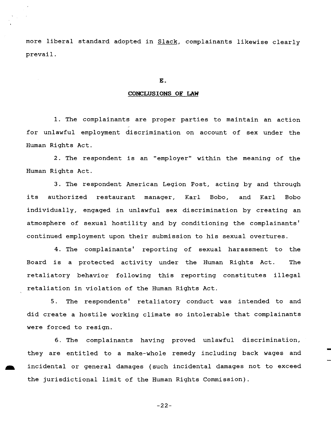more liberal standard adopted in Slack, complainants likewise clearly prevail.

#### **E.**

## **CONCLUSIONS OF LAW**

1. The complainants are proper parties to maintain an action for unlawful employment discrimination on account of sex under the Human Rights Act.

2. The respondent is an "employer" wi thin the meaning of the Human Rights Act.

3. The respondent American Legion Post, acting by and through its authorized restaurant manager, Karl Bobo, and Karl Bobo individually, engaged in unlawful sex discrimination by creating an atmosphere of sexual hostility and by conditioning the complainants' continued employment upon their submission to his sexual overtures.

4. The complainants' reporting of sexual harassment to the Board is <sup>a</sup> protected activity under the Human Rights Act. The retaliatory behavior following this reporting constitutes illegal retaliation in violation of the Human Rights Act.

S. The respondents' retaliatory conduct was intended to and did create <sup>a</sup> hostile working climate so intolerable that complainants were forced to resign.

6. The complainants having proved unlawful discrimination, they are entitled to <sup>a</sup> make-whole remedy including back wages and incidental or general damages (such incidental damages not to exceed the jurisdictional limit of the Human Rights Commission).

-22-